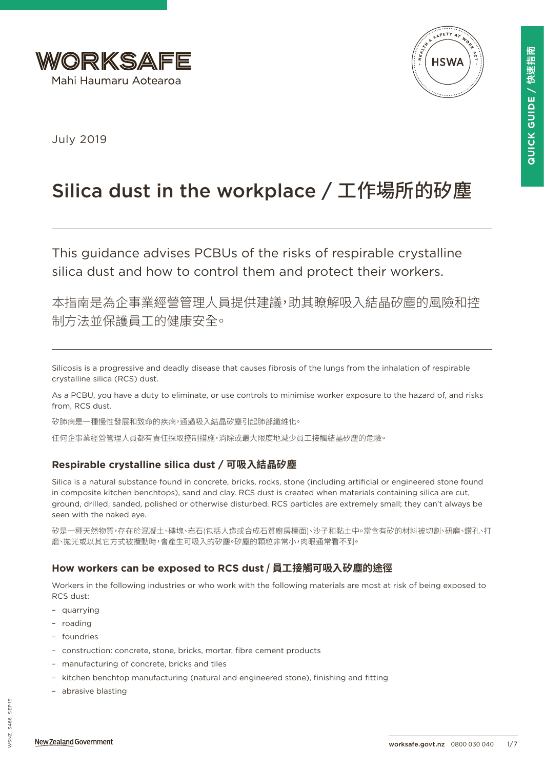



July 2019

# Silica dust in the workplace / 工作場所的矽塵

This guidance advises PCBUs of the risks of respirable crystalline silica dust and how to control them and protect their workers.

本指南是為企事業經營管理人員提供建議,助其瞭解吸入結晶矽塵的風險和控 制方法並保護員工的健康安全。

Silicosis is a progressive and deadly disease that causes fibrosis of the lungs from the inhalation of respirable crystalline silica (RCS) dust.

As a PCBU, you have a duty to eliminate, or use controls to minimise worker exposure to the hazard of, and risks from, RCS dust.

矽肺病是一種慢性發展和致命的疾病,通過吸入結晶矽塵引起肺部纖維化。

任何企事業經營管理人員都有責任採取控制措施,消除或最大限度地減少員工接觸結晶矽塵的危險。

# **Respirable crystalline silica dust / 可吸入結晶矽塵**

Silica is a natural substance found in concrete, bricks, rocks, stone (including artificial or engineered stone found in composite kitchen benchtops), sand and clay. RCS dust is created when materials containing silica are cut, ground, drilled, sanded, polished or otherwise disturbed. RCS particles are extremely small; they can't always be seen with the naked eye.

矽是一種天然物質,存在於混凝土、磚塊、岩石(包括人造或合成石質廚房檯面)、沙子和黏土中。當含有矽的材料被切割、研磨、鑽孔、打 磨、拋光或以其它方式被攪動時,會產生可吸入的矽塵。矽塵的顆粒非常小,肉眼通常看不到。

# **How workers can be exposed to RCS dust / 員工接觸可吸入矽塵的途徑**

Workers in the following industries or who work with the following materials are most at risk of being exposed to RCS dust:

- quarrying
- roading
- foundries
- construction: concrete, stone, bricks, mortar, fibre cement products
- manufacturing of concrete, bricks and tiles
- kitchen benchtop manufacturing (natural and engineered stone), finishing and fitting
- abrasive blasting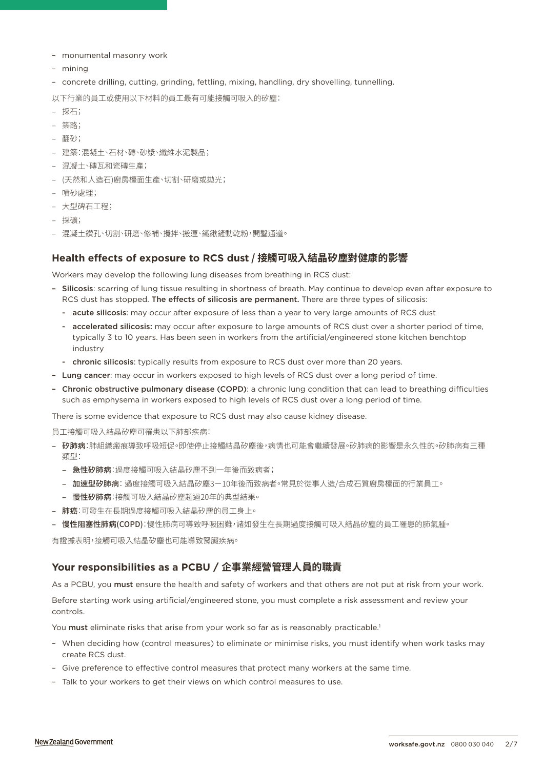- monumental masonry work
- mining
- concrete drilling, cutting, grinding, fettling, mixing, handling, dry shovelling, tunnelling.

以下行業的員工或使用以下材料的員工最有可能接觸可吸入的矽塵:

- 採石;
- 築路;
- 翻砂;
- 建築:混凝土、石材、磚、砂漿、纖維水泥製品;
- 混凝土、磚瓦和瓷磚生產;
- (天然和人造石)廚房檯面生產、切割、研磨或拋光;
- 噴砂處理;
- 大型碑石工程;
- 採礦;
- 混凝土鑽孔、切割、研磨、修補、攪拌、搬運、鐵鍬鏟動乾粉,開鑿通道。

## **Health effects of exposure to RCS dust / 接觸可吸入結晶矽塵對健康的影響**

Workers may develop the following lung diseases from breathing in RCS dust:

- Silicosis: scarring of lung tissue resulting in shortness of breath. May continue to develop even after exposure to RCS dust has stopped. The effects of silicosis are permanent. There are three types of silicosis:
	- acute silicosis: may occur after exposure of less than a year to very large amounts of RCS dust
	- accelerated silicosis: may occur after exposure to large amounts of RCS dust over a shorter period of time, typically 3 to 10 years. Has been seen in workers from the artificial/engineered stone kitchen benchtop industry
	- chronic silicosis: typically results from exposure to RCS dust over more than 20 years.
- Lung cancer: may occur in workers exposed to high levels of RCS dust over a long period of time.
- Chronic obstructive pulmonary disease (COPD): a chronic lung condition that can lead to breathing difficulties such as emphysema in workers exposed to high levels of RCS dust over a long period of time.

There is some evidence that exposure to RCS dust may also cause kidney disease.

員工接觸可吸入結晶矽塵可罹患以下肺部疾病:

- 矽肺病:肺組織瘢痕導致呼吸短促。即使停止接觸結晶矽塵後,病情也可能會繼續發展。矽肺病的影響是永久性的。矽肺病有三種 類型:
	- 急性矽肺病: 過度接觸可吸入結晶矽塵不到一年後而致病者;
	- 加速型矽肺病: 過度接觸可吸入結晶矽塵3-10年後而致病者。常見於從事人造/合成石質廚房檯面的行業員工。
	- 慢性矽肺病:接觸可吸入結晶矽塵超過20年的典型結果。
- 肺癌:可發生在長期過度接觸可吸入結晶矽塵的員工身上。
- 慢性阻塞性肺病(COPD):慢性肺病可導致呼吸困難,諸如發生在長期過度接觸可吸入結晶矽塵的員工罹患的肺氣腫。

有證據表明,接觸可吸入結晶矽塵也可能導致腎臟疾病。

## **Your responsibilities as a PCBU / 企事業經營管理人員的職責**

As a PCBU, you must ensure the health and safety of workers and that others are not put at risk from your work.

Before starting work using artificial/engineered stone, you must complete a risk assessment and review your controls.

You must eliminate risks that arise from your work so far as is reasonably practicable.<sup>1</sup>

- When deciding how (control measures) to eliminate or minimise risks, you must identify when work tasks may create RCS dust.
- Give preference to effective control measures that protect many workers at the same time.
- Talk to your workers to get their views on which control measures to use.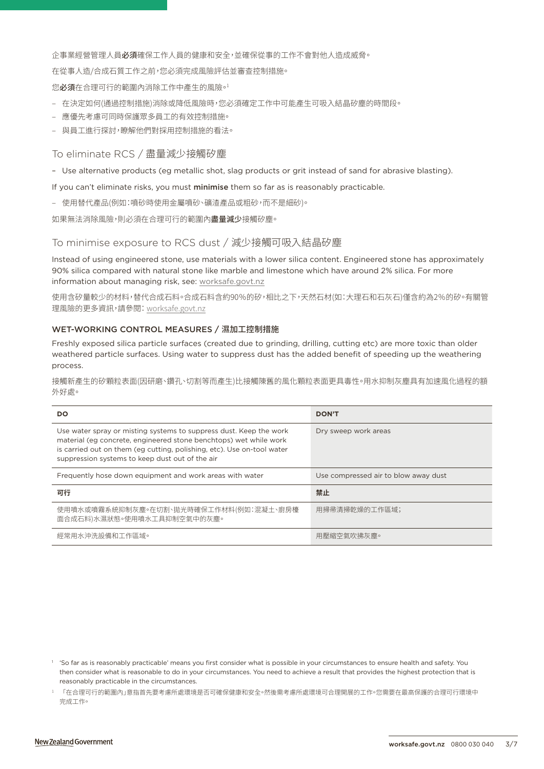企事業經營管理人員必須確保工作人員的健康和安全,並確保從事的工作不會對他人造成威脅。

在從事人造/合成石質工作之前,您必須完成風險評估並審查控制措施。

您必須在合理可行的範圍內消除工作中產生的風險。1

- 在決定如何(通過控制措施)消除或降低風險時,您必須確定工作中可能產生可吸入結晶矽塵的時間段。
- 應優先考慮可同時保護眾多員工的有效控制措施。
- 與員工進行探討,瞭解他們對採用控制措施的看法。

## To eliminate RCS / 盡量減少接觸矽塵

– Use alternative products (eg metallic shot, slag products or grit instead of sand for abrasive blasting).

If you can't eliminate risks, you must minimise them so far as is reasonably practicable.

– 使用替代產品(例如:噴砂時使用金屬噴砂、礦渣產品或粗砂,而不是細砂)。

如果無法消除風險,則必須在合理可行的範圍內盡量減少接觸矽塵。

## To minimise exposure to RCS dust / 減少接觸可吸入結晶矽塵

Instead of using engineered stone, use materials with a lower silica content. Engineered stone has approximately 90% silica compared with natural stone like marble and limestone which have around 2% silica. For more information about managing risk, see: [worksafe.govt.nz](https://worksafe.govt.nz/managing-health-and-safety/managing-risks/how-to-manage-work-risks/)

使用含矽量較少的材料,替代合成石料。合成石料含約90%的矽,相比之下,天然石材(如:大理石和石灰石)僅含約為2%的矽。有關管 理風險的更多資訊,請參閱: [worksafe.govt.nz](https://worksafe.govt.nz/managing-health-and-safety/managing-risks/how-to-manage-work-risks/)

### WET-WORKING CONTROL MEASURES / 濕加工控制措施

Freshly exposed silica particle surfaces (created due to grinding, drilling, cutting etc) are more toxic than older weathered particle surfaces. Using water to suppress dust has the added benefit of speeding up the weathering process.

接觸新產生的矽顆粒表面(因研磨、鑽孔、切割等而產生)比接觸陳舊的風化顆粒表面更具毒性。用水抑制灰塵具有加速風化過程的額 外好處。

| DO                                                                                                                                                                                                                                                                   | <b>DON'T</b>                         |
|----------------------------------------------------------------------------------------------------------------------------------------------------------------------------------------------------------------------------------------------------------------------|--------------------------------------|
| Use water spray or misting systems to suppress dust. Keep the work<br>material (eg concrete, engineered stone benchtops) wet while work<br>is carried out on them (eg cutting, polishing, etc). Use on-tool water<br>suppression systems to keep dust out of the air | Dry sweep work areas                 |
| Frequently hose down equipment and work areas with water                                                                                                                                                                                                             | Use compressed air to blow away dust |
| 可行                                                                                                                                                                                                                                                                   | 禁止                                   |
| 使用噴水或噴霧系統抑制灰塵。在切割、拋光時確保工作材料(例如:混凝土、廚房檯<br>面合成石料)水濕狀態。使用噴水工具抑制空氣中的灰塵。                                                                                                                                                                                                 | 用掃帚清掃乾燥的工作區域;                        |
| 經常用水沖洗設備和工作區域。                                                                                                                                                                                                                                                       | 用壓縮空氣吹拂灰塵。                           |

<sup>&</sup>lt;sup>1</sup> 'So far as is reasonably practicable' means you first consider what is possible in your circumstances to ensure health and safety. You then consider what is reasonable to do in your circumstances. You need to achieve a result that provides the highest protection that is reasonably practicable in the circumstances.

<sup>1</sup> 「在合理可行的範圍內」意指首先要考慮所處環境是否可確保健康和安全。然後需考慮所處環境可合理開展的工作。您需要在最高保護的合理可行環境中 完成工作。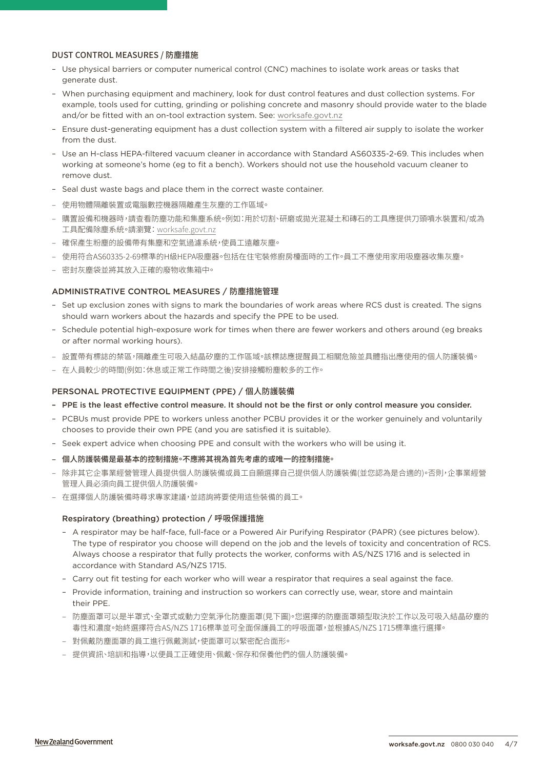## DUST CONTROL MEASURES / 防塵措施

- Use physical barriers or computer numerical control (CNC) machines to isolate work areas or tasks that generate dust.
- When purchasing equipment and machinery, look for dust control features and dust collection systems. For example, tools used for cutting, grinding or polishing concrete and masonry should provide water to the blade and/or be fitted with an on-tool extraction system. See: [worksafe.govt.nz](https://worksafe.govt.nz/topic-and-industry/dust-and-fumes/dust/controlling-construction-dust-with-on-tool-extraction/)
- Ensure dust-generating equipment has a dust collection system with a filtered air supply to isolate the worker from the dust.
- Use an H-class HEPA-filtered vacuum cleaner in accordance with Standard AS60335-2-69. This includes when working at someone's home (eg to fit a bench). Workers should not use the household vacuum cleaner to remove dust.
- Seal dust waste bags and place them in the correct waste container.
- 使用物體隔離裝置或電腦數控機器隔離產生灰塵的工作區域。
- 購置設備和機器時,請查看防塵功能和集塵系統。例如:用於切割、研磨或拋光混凝土和磚石的工具應提供刀頭噴水裝置和/或為 工具配備除塵系統。請瀏覽[:](https://worksafe.govt.nz/topic-and-industry/dust-and-fumes/dust/controlling-construction-dust-with-on-tool-extraction/) [worksafe.govt.nz](https://worksafe.govt.nz/topic-and-industry/dust-and-fumes/dust/controlling-construction-dust-with-on-tool-extraction/)
- 確保產生粉塵的設備帶有集塵和空氣過濾系統,使員工遠離灰塵。
- 使用符合AS60335-2-69標準的H級HEPA吸塵器。包括在住宅裝修廚房檯面時的工作。員工不應使用家用吸塵器收集灰塵。
- 密封灰塵袋並將其放入正確的廢物收集箱中。

## ADMINISTRATIVE CONTROL MEASURES / 防塵措施管理

- Set up exclusion zones with signs to mark the boundaries of work areas where RCS dust is created. The signs should warn workers about the hazards and specify the PPE to be used.
- Schedule potential high-exposure work for times when there are fewer workers and others around (eg breaks or after normal working hours).
- 設置帶有標誌的禁區,隔離產生可吸入結晶矽塵的工作區域。該標誌應提醒員工相關危險並具體指出應使用的個人防護裝備。
- 在人員較少的時間(例如:休息或正常工作時間之後)安排接觸粉塵較多的工作。

#### PERSONAL PROTECTIVE EQUIPMENT (PPE) / 個人防護裝備

- PPE is the least effective control measure. It should not be the first or only control measure you consider.
- PCBUs must provide PPE to workers unless another PCBU provides it or the worker genuinely and voluntarily chooses to provide their own PPE (and you are satisfied it is suitable).
- Seek expert advice when choosing PPE and consult with the workers who will be using it.
- 個人防護裝備是最基本的控制措施。不應將其視為首先考慮的或唯一的控制措施。
- 除非其它企事業經營管理人員提供個人防護裝備或員工自願選擇自己提供個人防護裝備(並您認為是合適的)。否則,企事業經營 管理人員必須向員工提供個人防護裝備。
- 在選擇個人防護裝備時尋求專家建議,並諮詢將要使用這些裝備的員工。

#### Respiratory (breathing) protection / 呼吸保護措施

- A respirator may be half-face, full-face or a Powered Air Purifying Respirator (PAPR) (see pictures below). The type of respirator you choose will depend on the job and the levels of toxicity and concentration of RCS. Always choose a respirator that fully protects the worker, conforms with AS/NZS 1716 and is selected in accordance with Standard AS/NZS 1715.
- Carry out fit testing for each worker who will wear a respirator that requires a seal against the face.
- Provide information, training and instruction so workers can correctly use, wear, store and maintain their PPE.
- 防塵面罩可以是半罩式、全罩式或動力空氣淨化防塵面罩(見下圖)。您選擇的防塵面罩類型取決於工作以及可吸入結晶矽塵的 毒性和濃度。始終選擇符合AS/NZS 1716標準並可全面保護員工的呼吸面罩,並根據AS/NZS 1715標準進行選擇。
- 對佩戴防塵面罩的員工進行佩戴測試,使面罩可以緊密配合面形。
- 提供資訊、培訓和指導,以便員工正確使用、佩戴、保存和保養他們的個人防護裝備。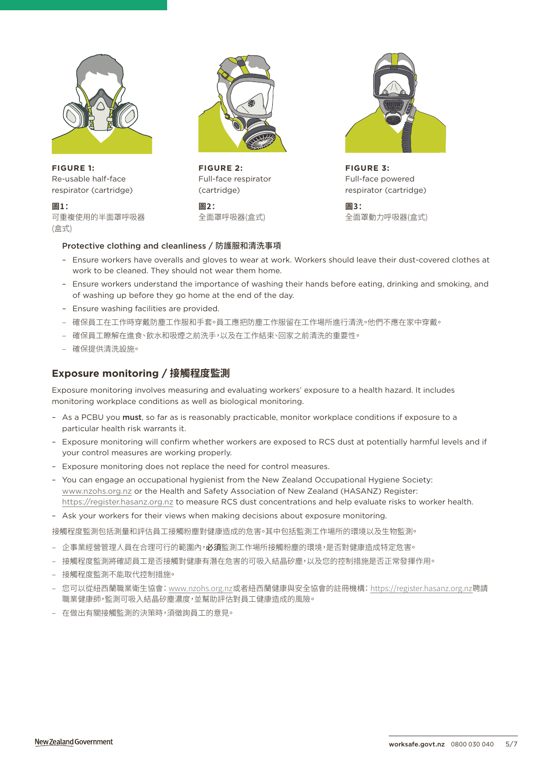

**FIGURE 1:** Re-usable half-face respirator (cartridge)

**圖1:** 可重複使用的半面罩呼吸器 (盒式)



**FIGURE 2:** Full-face respirator (cartridge)

**圖2:** 全面罩呼吸器(盒式)



**FIGURE 3:** Full-face powered respirator (cartridge)

**圖3:** 全面罩動力呼吸器(盒式)

## Protective clothing and cleanliness / 防護服和清洗事項

- Ensure workers have overalls and gloves to wear at work. Workers should leave their dust-covered clothes at work to be cleaned. They should not wear them home.
- Ensure workers understand the importance of washing their hands before eating, drinking and smoking, and of washing up before they go home at the end of the day.
- Ensure washing facilities are provided.
- 確保員工在工作時穿戴防塵工作服和手套。員工應把防塵工作服留在工作場所進行清洗。他們不應在家中穿戴。
- 確保員工瞭解在進食、飲水和吸煙之前洗手,以及在工作結束、回家之前清洗的重要性。
- 確保提供清洗設施。

# **Exposure monitoring / 接觸程度監測**

Exposure monitoring involves measuring and evaluating workers' exposure to a health hazard. It includes monitoring workplace conditions as well as biological monitoring.

- As a PCBU you must, so far as is reasonably practicable, monitor workplace conditions if exposure to a particular health risk warrants it.
- Exposure monitoring will confirm whether workers are exposed to RCS dust at potentially harmful levels and if your control measures are working properly.
- Exposure monitoring does not replace the need for control measures.
- You can engage an occupational hygienist from the New Zealand Occupational Hygiene Society: [www.nzohs.org.nz](http://www.nzohs.org.nz) or the Health and Safety Association of New Zealand (HASANZ) Register: <https://register.hasanz.org.nz>to measure RCS dust concentrations and help evaluate risks to worker health.
- Ask your workers for their views when making decisions about exposure monitoring.

接觸程度監測包括測量和評估員工接觸粉塵對健康造成的危害。其中包括監測工作場所的環境以及生物監測。

- 企事業經營管理人員在合理可行的範圍內, 必須監測工作場所接觸粉塵的環境, 是否對健康造成特定危害。
- 接觸程度監測將確認員工是否接觸對健康有潛在危害的可吸入結晶矽塵,以及您的控制措施是否正常發揮作用。
- 接觸程度監測不能取代控制措施。
- 您可以從紐西蘭職業衛生協會: [www.nzohs.org.nz](http://www.nzohs.org.nz)或者紐西蘭健康與安全協會的註冊機構[: https://register.hasanz.org.nz](https://register.hasanz.org.nz)聘請 職業健康師,監測可吸入結晶矽塵濃度,並幫助評估對員工健康造成的風險。
- 在做出有關接觸監測的決策時,須徵詢員工的意見。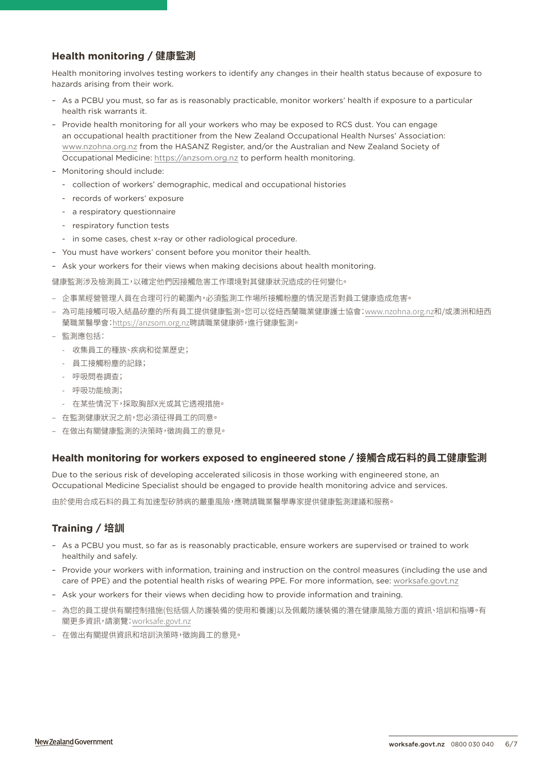# **Health monitoring / 健康監測**

Health monitoring involves testing workers to identify any changes in their health status because of exposure to hazards arising from their work.

- As a PCBU you must, so far as is reasonably practicable, monitor workers' health if exposure to a particular health risk warrants it.
- Provide health monitoring for all your workers who may be exposed to RCS dust. You can engage an occupational health practitioner from the New Zealand Occupational Health Nurses' Association: [www.nzohna.org.nz](http://www.nzohna.org.nz) from the HASANZ Register, and/or the Australian and New Zealand Society of Occupational Medicine:<https://anzsom.org.nz>to perform health monitoring.
- Monitoring should include:
	- collection of workers' demographic, medical and occupational histories
	- records of workers' exposure
	- a respiratory questionnaire
	- respiratory function tests
	- in some cases, chest x-ray or other radiological procedure.
- You must have workers' consent before you monitor their health.
- Ask your workers for their views when making decisions about health monitoring.

健康監測涉及檢測員工,以確定他們因接觸危害工作環境對其健康狀況造成的任何變化。

- 企事業經營管理人員在合理可行的範圍內,必須監測工作場所接觸粉塵的情況是否對員工健康造成危害。
- 為可能接觸可吸入結晶矽塵的所有員工提供健康監測。您可以從紐西蘭職業健康護士協會[:www.nzohna.org.nz](http://www.nzohna.org.nz)和/或澳洲和紐西 蘭職業醫學會[:https://anzsom.org.nz](https://anzsom.org.nz)聘請職業健康師,進行健康監測。
- 監測應包括:
	- 收集員工的種族、疾病和從業歷史;
	- 員工接觸粉塵的記錄;
	- 呼吸問卷調查;
	- 呼吸功能檢測;
	- 在某些情況下,採取胸部X光或其它透視措施。
- 在監測健康狀況之前,您必須征得員工的同意。
- 在做出有關健康監測的決策時,徵詢員工的意見。

# **Health monitoring for workers exposed to engineered stone / 接觸合成石料的員工健康監測**

Due to the serious risk of developing accelerated silicosis in those working with engineered stone, an Occupational Medicine Specialist should be engaged to provide health monitoring advice and services.

由於使用合成石料的員工有加速型矽肺病的嚴重風險,應聘請職業醫學專家提供健康監測建議和服務。

# **Training / 培訓**

- As a PCBU you must, so far as is reasonably practicable, ensure workers are supervised or trained to work healthily and safely.
- Provide your workers with information, training and instruction on the control measures (including the use and care of PPE) and the potential health risks of wearing PPE. For more information, see: [worksafe.govt.nz](https://worksafe.govt.nz/topic-and-industry/personal-protective-equipment-ppe/respiratory-protective-equipment/advice-for-businesses/)
- Ask your workers for their views when deciding how to provide information and training.
- 為您的員工提供有關控制措施(包括個人防護裝備的使用和養護)以及佩戴防護裝備的潛在健康風險方面的資訊、培訓和指導。有 關更多資訊,請瀏覽[:worksafe.govt.nz](https://worksafe.govt.nz/topic-and-industry/personal-protective-equipment-ppe/respiratory-protective-equipment/advice-for-businesses/)
- 在做出有關提供資訊和培訓決策時,徵詢員工的意見。